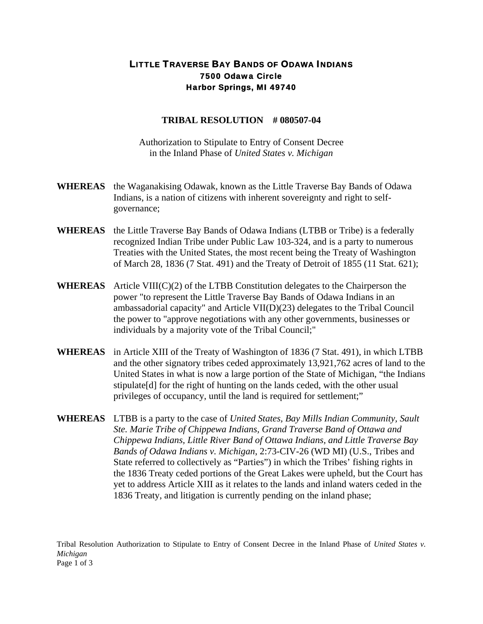## LITTLE TRAVERSE BAY BANDS OF ODAWA INDIANS 7500 Odawa Circle Harbor Springs, MI 49740

## **TRIBAL RESOLUTION # 080507-04**

Authorization to Stipulate to Entry of Consent Decree in the Inland Phase of *United States v. Michigan*

- **WHEREAS** the Waganakising Odawak, known as the Little Traverse Bay Bands of Odawa Indians, is a nation of citizens with inherent sovereignty and right to selfgovernance;
- **WHEREAS** the Little Traverse Bay Bands of Odawa Indians (LTBB or Tribe) is a federally recognized Indian Tribe under Public Law 103-324, and is a party to numerous Treaties with the United States, the most recent being the Treaty of Washington of March 28, 1836 (7 Stat. 491) and the Treaty of Detroit of 1855 (11 Stat. 621);
- **WHEREAS** Article VIII(C)(2) of the LTBB Constitution delegates to the Chairperson the power "to represent the Little Traverse Bay Bands of Odawa Indians in an ambassadorial capacity" and Article VII(D)(23) delegates to the Tribal Council the power to "approve negotiations with any other governments, businesses or individuals by a majority vote of the Tribal Council;"
- **WHEREAS** in Article XIII of the Treaty of Washington of 1836 (7 Stat. 491), in which LTBB and the other signatory tribes ceded approximately 13,921,762 acres of land to the United States in what is now a large portion of the State of Michigan, "the Indians stipulate[d] for the right of hunting on the lands ceded, with the other usual privileges of occupancy, until the land is required for settlement;"
- **WHEREAS** LTBB is a party to the case of *United States, Bay Mills Indian Community, Sault Ste. Marie Tribe of Chippewa Indians, Grand Traverse Band of Ottawa and Chippewa Indians, Little River Band of Ottawa Indians, and Little Traverse Bay Bands of Odawa Indians v. Michigan*, 2:73-CIV-26 (WD MI) (U.S., Tribes and State referred to collectively as "Parties") in which the Tribes' fishing rights in the 1836 Treaty ceded portions of the Great Lakes were upheld, but the Court has yet to address Article XIII as it relates to the lands and inland waters ceded in the 1836 Treaty, and litigation is currently pending on the inland phase;

Tribal Resolution Authorization to Stipulate to Entry of Consent Decree in the Inland Phase of *United States v. Michigan* Page 1 of 3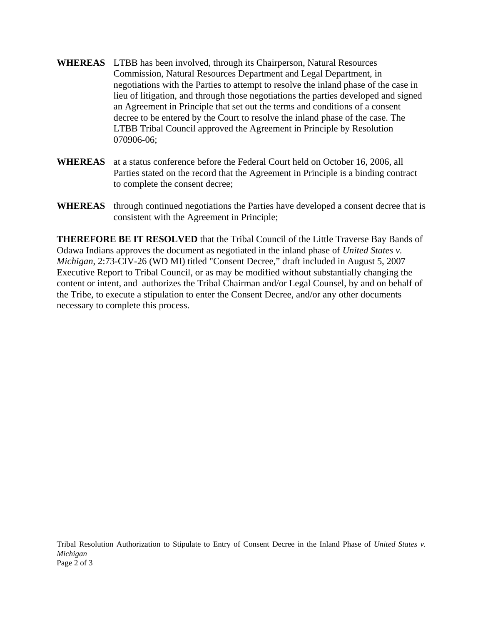- **WHEREAS** LTBB has been involved, through its Chairperson, Natural Resources Commission, Natural Resources Department and Legal Department, in negotiations with the Parties to attempt to resolve the inland phase of the case in lieu of litigation, and through those negotiations the parties developed and signed an Agreement in Principle that set out the terms and conditions of a consent decree to be entered by the Court to resolve the inland phase of the case. The LTBB Tribal Council approved the Agreement in Principle by Resolution 070906-06;
- **WHEREAS** at a status conference before the Federal Court held on October 16, 2006, all Parties stated on the record that the Agreement in Principle is a binding contract to complete the consent decree;
- **WHEREAS** through continued negotiations the Parties have developed a consent decree that is consistent with the Agreement in Principle;

**THEREFORE BE IT RESOLVED** that the Tribal Council of the Little Traverse Bay Bands of Odawa Indians approves the document as negotiated in the inland phase of *United States v. Michigan*, 2:73-CIV-26 (WD MI) titled "Consent Decree," draft included in August 5, 2007 Executive Report to Tribal Council, or as may be modified without substantially changing the content or intent, and authorizes the Tribal Chairman and/or Legal Counsel, by and on behalf of the Tribe, to execute a stipulation to enter the Consent Decree, and/or any other documents necessary to complete this process.